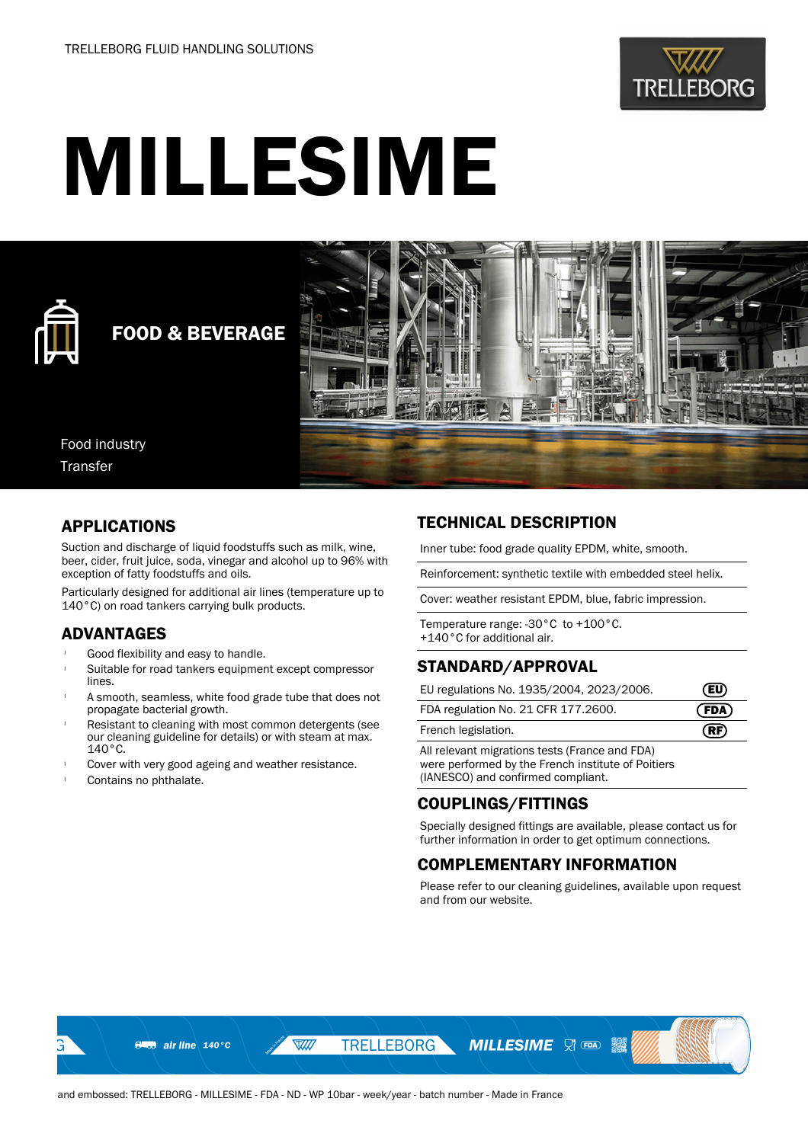

# MILLESIME



# FOOD & BEVERAGE



Food industry Transfer

# APPLICATIONS

Suction and discharge of liquid foodstuffs such as milk, wine, beer, cider, fruit juice, soda, vinegar and alcohol up to 96% with exception of fatty foodstuffs and oils.

Particularly designed for additional air lines (temperature up to 140°C) on road tankers carrying bulk products.

# ADVANTAGES

- Good flexibility and easy to handle.
- Suitable for road tankers equipment except compressor lines.
- A smooth, seamless, white food grade tube that does not propagate bacterial growth.
- Resistant to cleaning with most common detergents (see our cleaning guideline for details) or with steam at max. 140°C.
- Cover with very good ageing and weather resistance.
- Contains no phthalate.

# TECHNICAL DESCRIPTION

Inner tube: food grade quality EPDM, white, smooth.

Reinforcement: synthetic textile with embedded steel helix.

Cover: weather resistant EPDM, blue, fabric impression.

Temperature range: -30°C to +100°C. +140°C for additional air.

#### STANDARD/APPROVAL

| EU regulations No. 1935/2004, 2023/2006. | $\mathbf{F}$ |
|------------------------------------------|--------------|
| FDA regulation No. 21 CFR 177.2600.      | (FDA)        |
|                                          |              |

French legislation. **RF** 

All relevant migrations tests (France and FDA) were performed by the French institute of Poitiers (IANESCO) and confirmed compliant.

# COUPLINGS/FITTINGS

Specially designed fittings are available, please contact us for further information in order to get optimum connections.

# COMPLEMENTARY INFORMATION

**MILLESIME** VI TEA **13** 

Please refer to our cleaning guidelines, available upon request and from our website.

W

**TRELLEBORG**